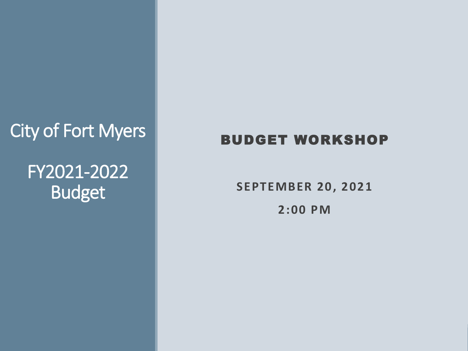#### City of Fort Myers

#### FY2021-2022 Budget

#### BUDGET WORKSHOP

**SEPTEMBER 20, 2021 2:00 PM**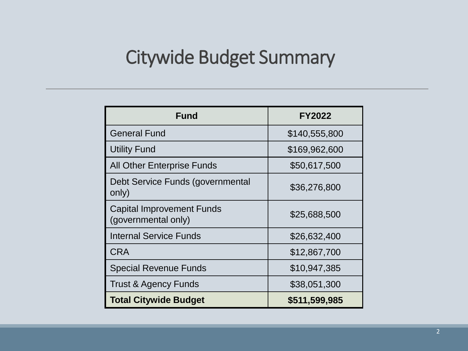# Citywide Budget Summary

| <b>Fund</b>                                             | <b>FY2022</b> |  |  |
|---------------------------------------------------------|---------------|--|--|
| <b>General Fund</b>                                     | \$140,555,800 |  |  |
| <b>Utility Fund</b>                                     | \$169,962,600 |  |  |
| <b>All Other Enterprise Funds</b>                       | \$50,617,500  |  |  |
| Debt Service Funds (governmental<br>only)               | \$36,276,800  |  |  |
| <b>Capital Improvement Funds</b><br>(governmental only) | \$25,688,500  |  |  |
| <b>Internal Service Funds</b>                           | \$26,632,400  |  |  |
| <b>CRA</b>                                              | \$12,867,700  |  |  |
| <b>Special Revenue Funds</b>                            | \$10,947,385  |  |  |
| <b>Trust &amp; Agency Funds</b>                         | \$38,051,300  |  |  |
| <b>Total Citywide Budget</b>                            | \$511,599,985 |  |  |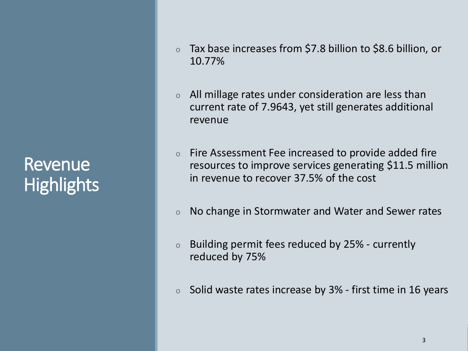#### Revenue **Highlights**

- o Tax base increases from \$7.8 billion to \$8.6 billion, or 10.77%
- o All millage rates under consideration are less than current rate of 7.9643, yet still generates additional revenue
- o Fire Assessment Fee increased to provide added fire resources to improve services generating \$11.5 million in revenue to recover 37.5% of the cost
- o No change in Stormwater and Water and Sewer rates
- o Building permit fees reduced by 25% currently reduced by 75%
- o Solid waste rates increase by 3% first time in 16 years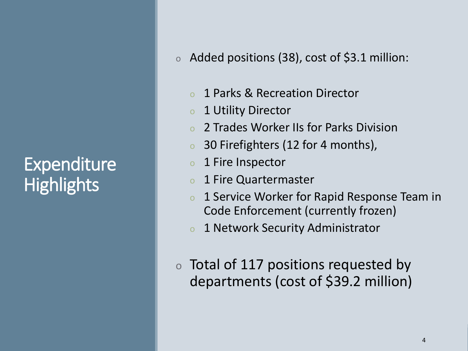## **Expenditure Highlights**

- o Added positions (38), cost of \$3.1 million:
	- o 1 Parks & Recreation Director
	- o 1 Utility Director
	- o 2 Trades Worker IIs for Parks Division
	- o 30 Firefighters (12 for 4 months),
	- o 1 Fire Inspector
	- o 1 Fire Quartermaster
	- o 1 Service Worker for Rapid Response Team in Code Enforcement (currently frozen)
	- o 1 Network Security Administrator
- o Total of 117 positions requested by departments (cost of \$39.2 million)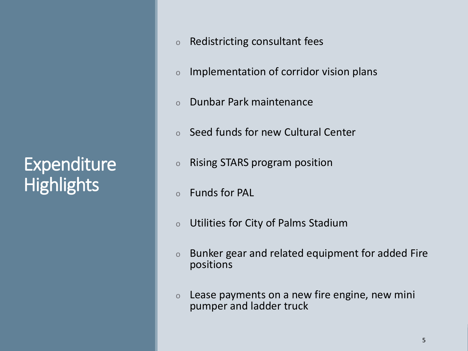#### Expenditure **Highlights**

- o Redistricting consultant fees
- o Implementation of corridor vision plans
- o Dunbar Park maintenance
- o Seed funds for new Cultural Center
- o Rising STARS program position
- o Funds for PAL
- o Utilities for City of Palms Stadium
- o Bunker gear and related equipment for added Fire positions
- o Lease payments on a new fire engine, new mini pumper and ladder truck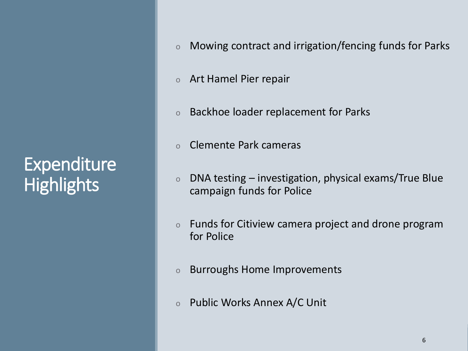## Expenditure **Highlights**

- o Mowing contract and irrigation/fencing funds for Parks
- o Art Hamel Pier repair
- o Backhoe loader replacement for Parks
- o Clemente Park cameras
- o DNA testing investigation, physical exams/True Blue campaign funds for Police
- o Funds for Citiview camera project and drone program for Police
- o Burroughs Home Improvements
- o Public Works Annex A/C Unit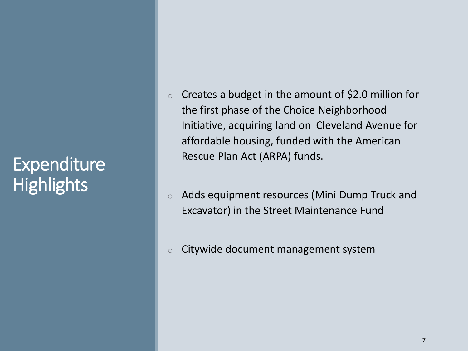## Expenditure **Highlights**

- $\circ$  Creates a budget in the amount of \$2.0 million for the first phase of the Choice Neighborhood Initiative, acquiring land on Cleveland Avenue for affordable housing, funded with the American Rescue Plan Act (ARPA) funds.
- o Adds equipment resources (Mini Dump Truck and Excavator) in the Street Maintenance Fund
- $\circ$  Citywide document management system